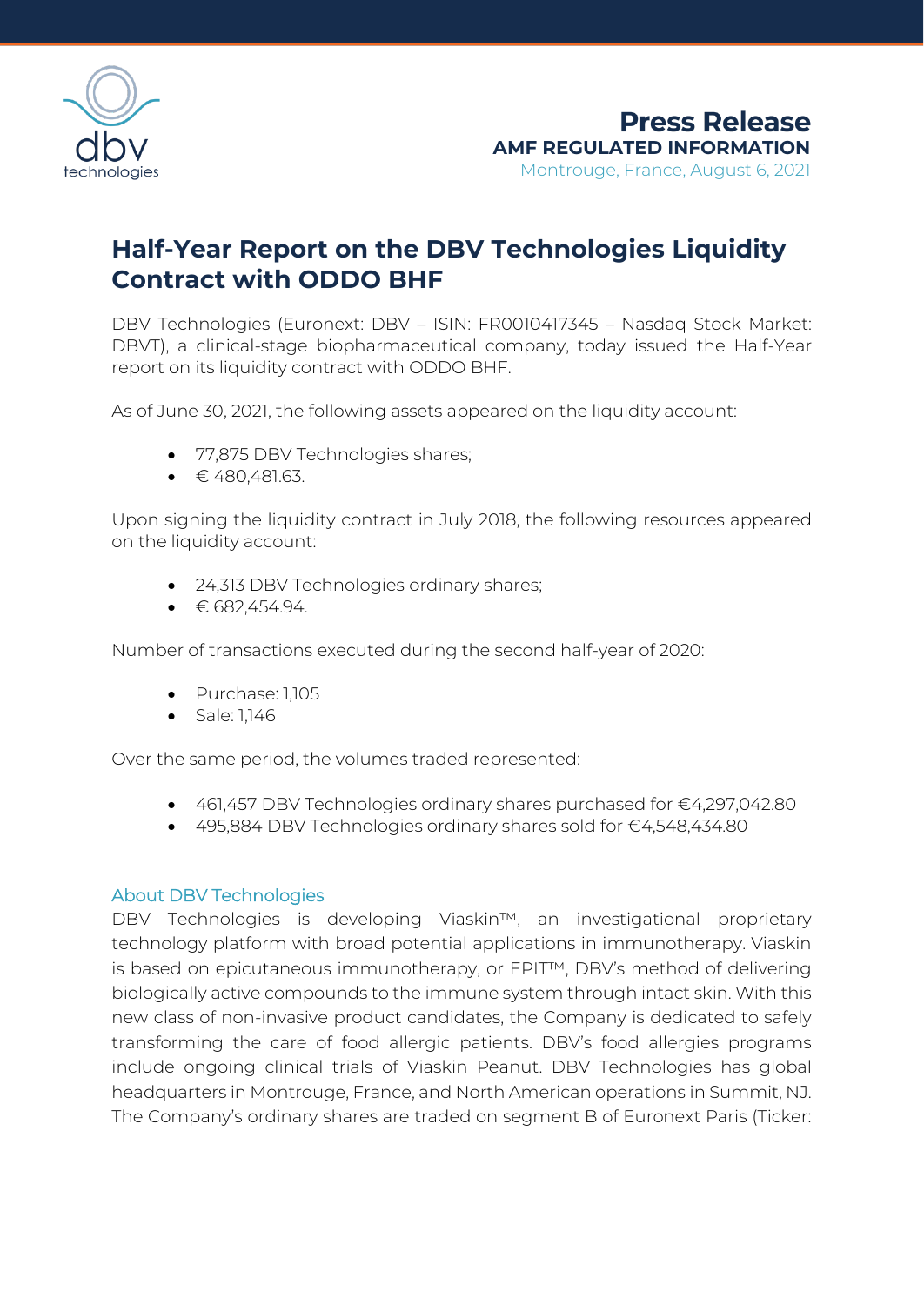

## **Half-Year Report on the DBV Technologies Liquidity Contract with ODDO BHF**

DBV Technologies (Euronext: DBV – ISIN: FR0010417345 – Nasdaq Stock Market: DBVT), a clinical-stage biopharmaceutical company, today issued the Half-Year report on its liquidity contract with ODDO BHF.

As of June 30, 2021, the following assets appeared on the liquidity account:

- 77,875 DBV Technologies shares;
- $\bullet$   $\in$  480,481.63.

Upon signing the liquidity contract in July 2018, the following resources appeared on the liquidity account:

- 24,313 DBV Technologies ordinary shares;
- $\bullet$   $\in$  682,454.94.

Number of transactions executed during the second half-year of 2020:

- Purchase: 1,105
- Sale: 1,146

Over the same period, the volumes traded represented:

- 461,457 DBV Technologies ordinary shares purchased for €4,297,042.80
- 495,884 DBV Technologies ordinary shares sold for €4,548,434.80

## About DBV Technologies

DBV Technologies is developing Viaskin™, an investigational proprietary technology platform with broad potential applications in immunotherapy. Viaskin is based on epicutaneous immunotherapy, or EPIT™, DBV's method of delivering biologically active compounds to the immune system through intact skin. With this new class of non-invasive product candidates, the Company is dedicated to safely transforming the care of food allergic patients. DBV's food allergies programs include ongoing clinical trials of Viaskin Peanut. DBV Technologies has global headquarters in Montrouge, France, and North American operations in Summit, NJ. The Company's ordinary shares are traded on segment B of Euronext Paris (Ticker: